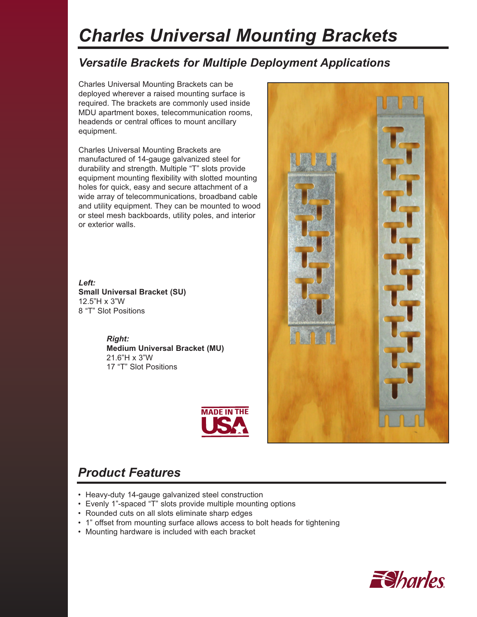# *Charles Universal Mounting Brackets*

## *Versatile Brackets for Multiple Deployment Applications*

Charles Universal Mounting Brackets can be deployed wherever a raised mounting surface is required. The brackets are commonly used inside MDU apartment boxes, telecommunication rooms, headends or central offices to mount ancillary equipment.

Charles Universal Mounting Brackets are manufactured of 14-gauge galvanized steel for durability and strength. Multiple "T" slots provide equipment mounting flexibility with slotted mounting holes for quick, easy and secure attachment of a wide array of telecommunications, broadband cable and utility equipment. They can be mounted to wood or steel mesh backboards, utility poles, and interior or exterior walls.

*Left:* **Small Universal Bracket (SU)** 12.5"H x 3"W 8 "T" Slot Positions

> *Right:* **Medium Universal Bracket (MU)** 21.6"H x 3"W 17 "T" Slot Positions



## *Product Features*

- Heavy-duty 14-gauge galvanized steel construction
- Evenly 1"-spaced "T" slots provide multiple mounting options
- Rounded cuts on all slots eliminate sharp edges
- 1" offset from mounting surface allows access to bolt heads for tightening
- Mounting hardware is included with each bracket